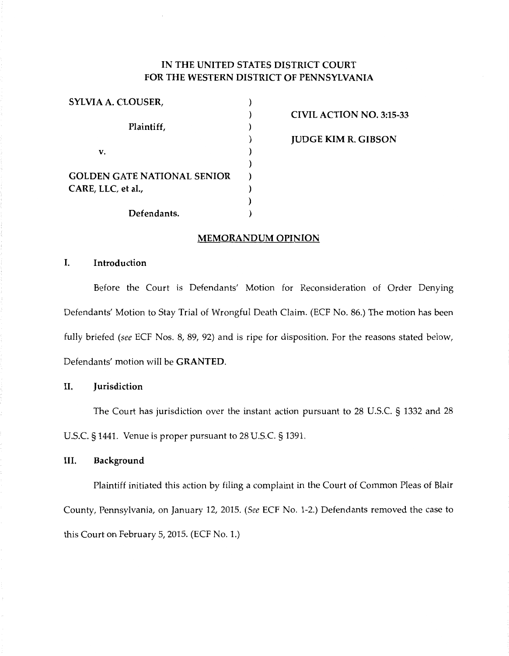# IN THE UNITED STATES DISTRICT COURT FOR THE WESTERN DISTRICT OF PENNSYLVANIA

| SYLVIA A. CLOUSER,                 |  |
|------------------------------------|--|
|                                    |  |
| Plaintiff,                         |  |
|                                    |  |
| v.                                 |  |
|                                    |  |
| <b>GOLDEN GATE NATIONAL SENIOR</b> |  |
| CARE, LLC, et al.,                 |  |
|                                    |  |
| Defendants.                        |  |

CIVIL ACTION NO. 3:15-33

JUDGE KIM R. GIBSON

## MEMORANDUM OPINION

## I. Introduction

Before the Court is Defendants' Motion for Reconsideration of Order Denying Defendants' Motion to Stay Trial of Wrongful Death Claim. (ECF No. 86.) The motion has been fully briefed *(see* ECF Nos. 8, 89, 92) and is ripe for disposition. For the reasons stated below, Defendants' motion will be GRANTED.

### II. Jurisdiction

The Court has jurisdiction over the instant action pursuant to 28 U.S.C. § 1332 and 28 U.S.C. § 1441. Venue is proper pursuant to 28 U.S.C. § 1391.

## III. Background

Plaintiff initiated this action by filing a complaint in the Court of Common Pleas of Blair County, Pennsylvania, on January 12, 2015. (See ECF No. 1-2.) Defendants removed the case to this Court on February 5, 2015. (ECF No. 1.)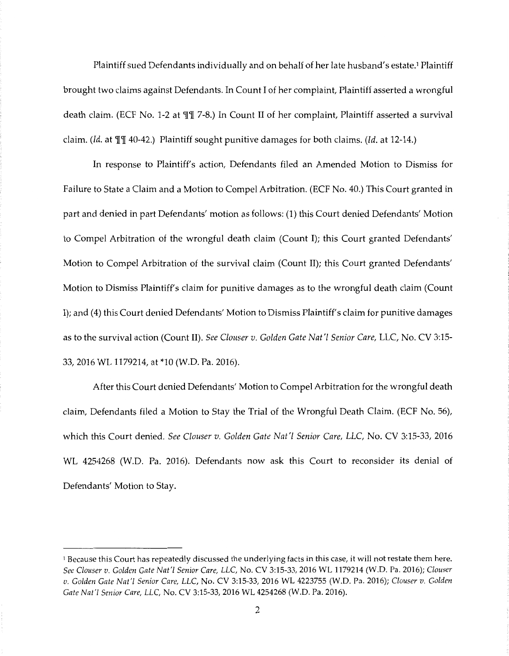Plaintiff sued Defendants individually and on behalf of her late husband's estate.1 Plaintiff brought two claims against Defendants. In Count I of her complaint, Plaintiff asserted a wrongful death claim. (ECF No. 1-2 at  $\P$  T 7-8.) In Count II of her complaint, Plaintiff asserted a survival claim. *(Id.* at  $\P$ ] 40-42.) Plaintiff sought punitive damages for both claims. *(Id.* at 12-14.)

In response to Plaintiff's action, Defendants filed an Amended Motion to Dismiss for Failure to State a Claim and a Motion to Compel Arbitration. (ECF No. 40.) This Court granted in part and denied in part Defendants' motion as follows: (1) this Court denied Defendants' Motion to Compel Arbitration of the wrongful death claim (Count I); this Court granted Defendants' Motion to Compel Arbitration of the survival claim (Count II); this Court granted Defendants' Motion to Dismiss Plaintiff's claim for punitive damages as to the wrongful death claim (Count I); and (4) this Court denied Defendants' Motion to Dismiss Plaintiff's claim for punitive damages as to the survival action (Count II). *See Clouser v. Golden Gate Nat'l Senior Care,* LLC, No. CV 3:15- 33, 2016 WL 1179214, at \*10 (W.D. Pa. 2016).

After this Court denied Defendants' Motion to Compel Arbitration for the wrongful death claim, Defendants filed a Motion to Stay the Trial of the Wrongful Death Claim. (ECF No. 56), which this Court denied. *See Clouser v. Golden Gate Nat'l Senior Care, LLC,* No. CV 3:15-33, 2016 WL 4254268 (W.D. Pa. 2016). Defendants now ask this Court to reconsider its denial of Defendants' Motion to Stay.

<sup>&</sup>lt;sup>1</sup> Because this Court has repeatedly discussed the underlying facts in this case, it will not restate them here. *See Clouser v. Golden Gate Nat'[ Senior Care, LLC,* No. CV 3:15-33, 2016 WL 1179214 (W.D. Pa. 2016); *Clouser v. Golden Gate Nat'[ Senior Care, LLC,* No. CV 3:15-33, 2016 WL 4223755 (W.D. Pa. 2016); *Clouser v. Golden Gate Nat'/ Senior Care, LLC,* No. CV 3:15-33, 2016 WL 4254268 (W.D. Pa. 2016).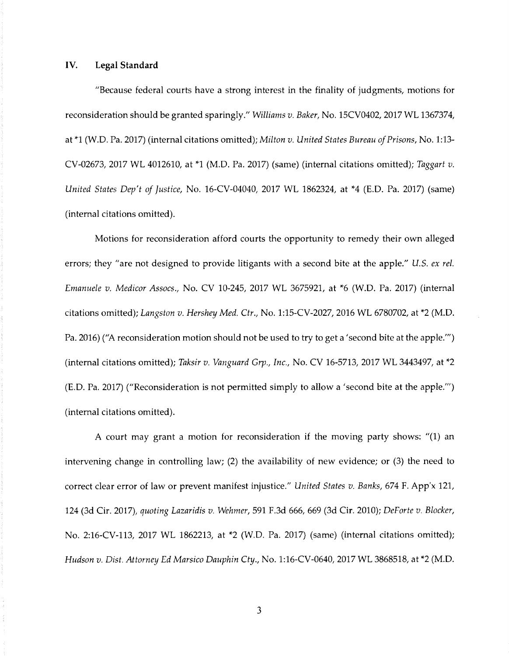### IV. **Legal Standard**

"Because federal courts have a strong interest in the finality of judgments, motions for reconsideration should be granted sparingly." *Williams v. Baker,* No. 15CV0402, 2017 WL 1367374, at \*1 (W.D. Pa. 2017) (internal citations omitted); *Milton v. United States Bureau of Prisons,* No. 1:13- CV-02673, 2017 WL 4012610, at \*1 (M.D. Pa. 2017) (same) (internal citations omitted); *Taggart v. United States Dep't of Justice,* No. 16-CV-04040, 2017 WL 1862324, at \*4 (E.D. Pa. 2017) (same) (internal citations omitted).

Motions for reconsideration afford courts the opportunity to remedy their own alleged errors; they "are not designed to provide litigants with a second bite at the apple." *U.S. ex rel. Emanuele v. Medicor Assocs.,* No. CV 10-245, 2017 WL 3675921, at \*6 (W.D. Pa. 2017) (internal citations omitted); *Langston v. Hershey Med. Ctr.,* No. 1:15-CV-2027, 2016 WL 6780702, at \*2 (M.D. Pa. 2016) ("A reconsideration motion should not be used to try to get a 'second bite at the apple."') (internal citations omitted); *Taksir v. Vanguard Grp., Inc.,* No. CV 16-5713, 2017 WL 3443497, at \*2 (E.D. Pa. 2017) ("Reconsideration is not permitted simply to allow a 'second bite at the apple."') (internal citations omitted).

A court may grant a motion for reconsideration if the moving party shows: "(1) an intervening change in controlling law; (2) the availability of new evidence; or (3) the need to correct clear error of law or prevent manifest injustice." *United States v. Banks,* 674 F. App'x 121, 124 (3d Cir. 2017), *quoting Lazaridis v. Wehmer,* 591 F.3d 666, 669 (3d Cir. 2010); *DeForte v. Blocker,*  No. 2:16-CV-113, 2017 WL 1862213, at \*2 (W.D. Pa. 2017) (same) (internal citations omitted); *Hudson v. Dist. Attorney Ed Marsico Dauphin Cty.,* No. 1:16-CV-0640, 2017 WL 3868518, at \*2 (M.D.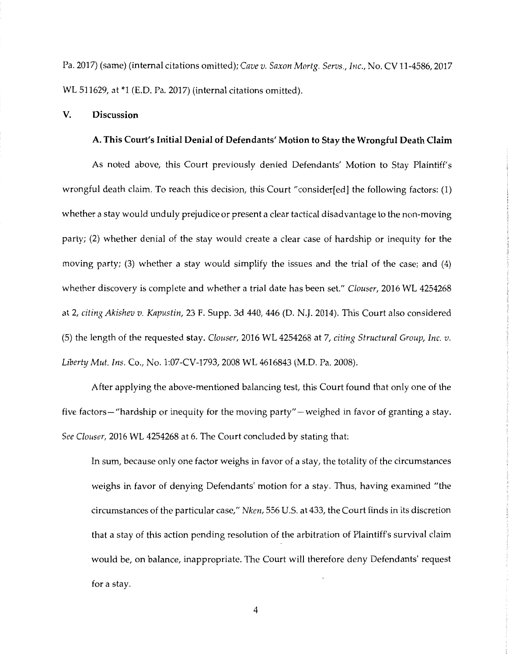Pa. 2017) (same) (internal citations omitted); *Cave v. Saxon Mortg. Servs., Inc.,* No. CV 11-4586, 2017 WL 511629, at \*1 (E.D. Pa. 2017) (internal citations omitted).

#### **V. Discussion**

#### **A. This Court's Initial Denial of Defendants' Motion to Stay the Wrongful Death Claim**

As noted above, this Court previously denied Defendants' Motion to Stay Plaintiff's wrongful death claim. To reach this decision, this Court "consider[ed] the following factors: (1) whether a stay would unduly prejudice or present a clear tactical disadvantage to the non-moving party; (2) whether denial of the stay would create a clear case of hardship or inequity for the moving party; (3) whether a stay would simplify the issues and the trial of the case; and (4) whether discovery is complete and whether a trial date has been set." *Clouser,* 2016 WL 4254268 at 2, *citing Akishev v. Kapustin,* 23 F. Supp. 3d 440, 446 (D. N.J. 2014). This Court also considered (5) the length of the requested stay. *Clouser,* 2016 WL 4254268 at 7, *citing Structural Group, Inc. v. Liberty Mut. Ins.* Co., No. 1:07-CV-1793, 2008 WL 4616843 (M.D. Pa. 2008).

After applying the above-mentioned balancing test, this Court found that only one of the five factors— "hardship or inequity for the moving party" — weighed in favor of granting a stay. *See Clouser,* 2016 WL 4254268 at 6. The Court concluded by stating that:

In sum, because only one factor weighs in favor of a stay, the totality of the circumstances weighs in favor of denying Defendants' motion for a stay. Thus, having examined "the circumstances of the particular case," *Nken,* 556 U.S. at 433, the Court finds in its discretion that a stay of this action pending resolution of the arbitration of Plaintiff's survival claim would be, on balance, inappropriate. The Court will therefore deny Defendants' request for a stay.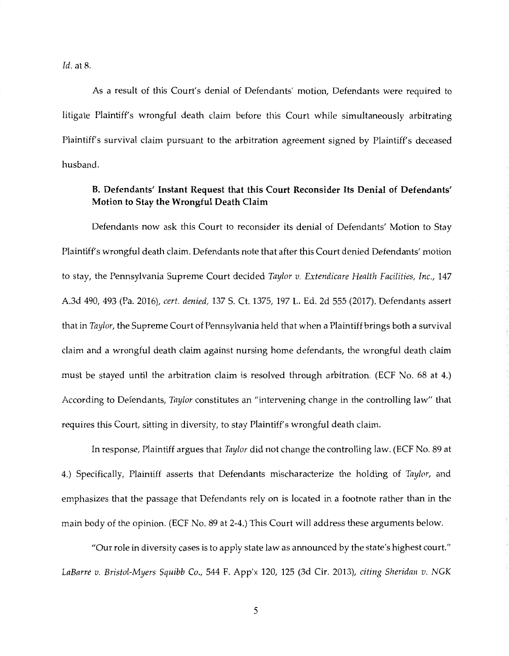*Id.* at 8.

As a result of this Court's denial of Defendants' motion, Defendants were required to litigate Plaintiff's wrongful death claim before this Court while simultaneously arbitrating Plaintiff's survival claim pursuant to the arbitration agreement signed by Plaintiff's deceased husband.

## **B. Defendants' Instant Request that this Court Reconsider Its Denial of Defendants' Motion to Stay the Wrongful Death Claim**

Defendants now ask this Court to reconsider its denial of Defendants' Motion to Stay Plaintiff's wrongful death claim. Defendants note that after this Court denied Defendants' motion to stay, the Pennsylvania Supreme Court decided *Taylor v. Extendicare Health Facilities, Inc.,* 147 A.3d 490, 493 (Pa. 2016), *cert. denied,* 137 S. Ct. 1375, 197 L. Ed. 2d 555 (2017). Defendants assert that in *Taylor,* the Supreme Court of Pennsylvania held that when a Plaintiff brings both a survival claim and a wrongful death claim against nursing home defendants, the wrongful death claim must be stayed until the arbitration claim is resolved through arbitration. (ECF No. 68 at 4.) According to Defendants, *Taylor* constitutes an "intervening change in the controlling law" that requires this Court, sitting in diversity, to stay Plaintiff's wrongful death claim.

In response, Plaintiff argues that *Taylor* did not change the controlling law. (ECF No. 89 at 4.) Specifically, Plaintiff asserts that Defendants mischaracterize the holding of *Taylor,* and emphasizes that the passage that Defendants rely on is located in a footnote rather than in the main body of the opinion. (ECF No. 89 at 2-4.) This Court will address these arguments below.

"Our role in diversity cases is to apply state law as announced by the state's highest court." *LaBarre v. Bristol-Myers Squibb* Co., 544 F. App'x 120, 125 (3d Cir. 2013), *citing Sheridan v. NGK* 

5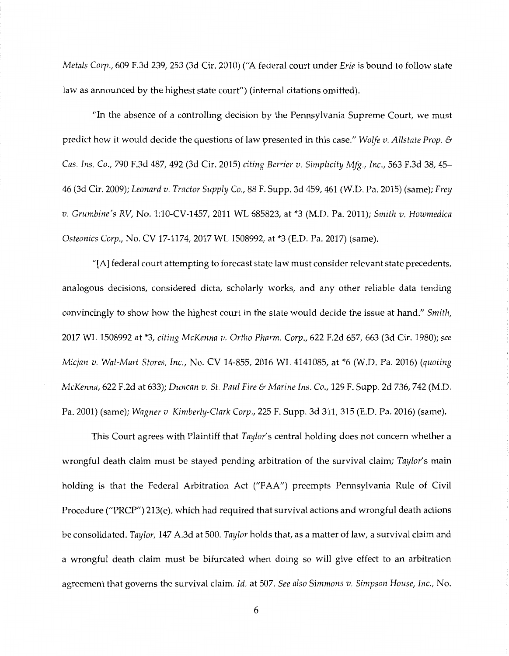*Metals Corp.,* 609 F.3d 239, 253 (3d Cir. 2010) ("A federal court under *Erie* is bound to follow state law as announced by the highest state court") (internal citations omitted).

"In the absence of a controlling decision by the Pennsylvania Supreme Court, we must predict how it would decide the questions of law presented in this case." *Wolfe v. Allstate Prop.* & *Cas. Ins.* Co., 790 F.3d 487, 492 (3d Cir. 2015) *citing Berrier v. Simplicity Mfg., Inc.,* 563 F.3d 38, 45- 46 (3d Cir. 2009); *Leonard v. Tractor Supply* Co., 88 F. Supp. 3d 459, 461 (W.D. Pa. 2015) (same); *Frey v. Grumbine's RV,* No. 1:10-CV-1457, 2011 WL 685823, at \*3 (M.D. Pa. 2011); *Smith v. Howmedica Osteonics Corp.,* No. CV 17-1174, 2017 WL 1508992, at \*3 (E.D. Pa. 2017) (same).

"[A] federal court attempting to forecast state law must consider relevant state precedents, analogous decisions, considered dicta, scholarly works, and any other reliable data tending convincingly to show how the highest court in the state would decide the issue at hand." *Smith,*  2017 WL 1508992 at \*3, *citing McKenna v. Ortho Pharm. Corp.,* 622 F.2d 657, 663 (3d Cir. 1980); *see Micjan v. Wal-Mart Stores, Inc.,* No. CV 14-855, 2016 WL 4141085, at \*6 (W.D. Pa. 2016) *(quoting McKenna,* 622 F.2d at 633); *Duncan v. St. Paul Fire* & *Marine Ins.* Co., 129 F. Supp. 2d 736, 742 (M.D. Pa. 2001) (same); *Wagner v. Kimberly-Clark Corp.,* 225 F. Supp. 3d 311, 315 (E.D. Pa. 2016) (same).

This Court agrees with Plaintiff that *Taylor's* central holding does not concern whether a wrongful death claim must be stayed pending arbitration of the survival claim; *Taylor's* main holding is that the Federal Arbitration Act ("FAA") preempts Pennsylvania Rule of Civil Procedure ("PRCP") 213(e), which had required that survival actions and wrongful death actions be consolidated. *Taylor,* 147 A.3d at 500. *Taylor* holds that, as a matter of law, a survival claim and a wrongful death claim must be bifurcated when doing so will give effect to an arbitration agreement that governs the survival claim. *Id.* at 507. *See also Simmons v. Simpson House, Inc.,* No.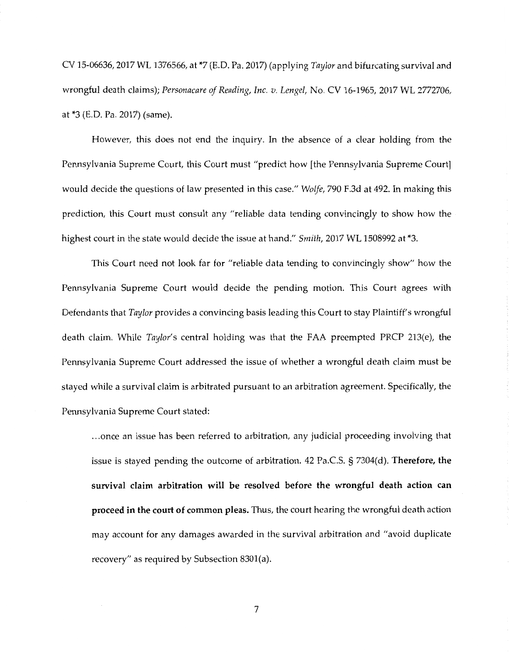CV 15-06636, 2017 WL 1376566, at \*7 (E.D. Pa. 2017) (applying *Taylor* and bifurcating survival and wrongful death claims); *Personacare of Reading, Inc. v. Lengel,* No. CV 16-1965, 2017 WL 2772706, at \*3 (E.D. Pa. 2017) (same).

However, this does not end the inquiry. In the absence of a clear holding from the Pennsylvania Supreme Court, this Court must "predict how [the Pennsylvania Supreme Court] would decide the questions of law presented in this case." *Wolfe,* 790 F.3d at 492. In making this prediction, this Court must consult any "reliable data tending convincingly to show how the highest court in the state would decide the issue at hand." *Smith,* 2017 WL 1508992 at \*3.

This Court need not look far for "reliable data tending to convincingly show" how the Pennsylvania Supreme Court would decide the pending motion. This Court agrees with Defendants that *Taylor* provides a convincing basis leading this Court to stay Plaintiff's wrongful death claim. While *Taylor's* central holding was that the FAA preempted PRCP 213(e), the Pennsylvania Supreme Court addressed the issue of whether a wrongful death claim must be stayed while a survival claim is arbitrated pursuant to an arbitration agreement. Specifically, the Pennsylvania Supreme Court stated:

... once an issue has been referred to arbitration, any judicial proceeding involving that issue is stayed pending the outcome of arbitration. 42 Pa.CS. § 7304(d). **Therefore, the survival claim arbitration will be resolved before the wrongful death action can proceed in the court of common pleas.** Thus, the court hearing the wrongful death action may account for any damages awarded in the survival arbitration and "avoid duplicate recovery" as required by Subsection 8301(a).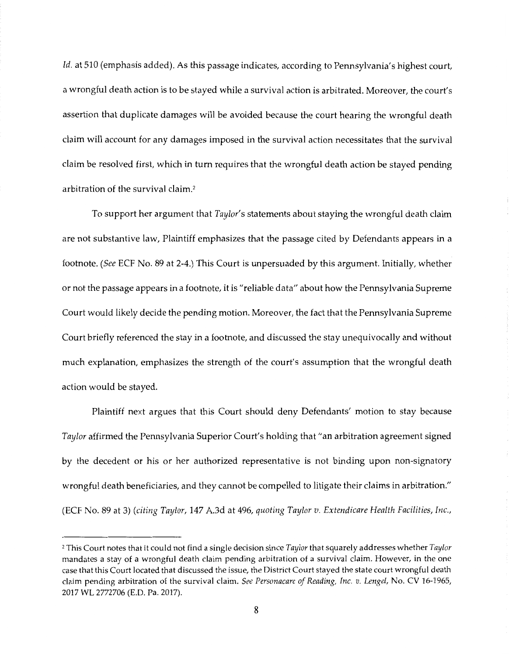*Id.* at 510 (emphasis added). As this passage indicates, according to Pennsylvania's highest court, a wrongful death action is to be stayed while a survival action is arbitrated. Moreover, the court's assertion that duplicate damages will be avoided because the court hearing the wrongful death claim will account for any damages imposed in the survival action necessitates that the survival claim be resolved first, which in tum requires that the wrongful death action be stayed pending arbitration of the survival claim.2

To support her argument that *Taylor's* statements about staying the wrongful death claim are not substantive law, Plaintiff emphasizes that the passage cited by Defendants appears in a footnote. *(See* ECF No. 89 at 2-4.) This Court is unpersuaded by this argument. Initially, whether or not the passage appears in a footnote, it is "reliable data" about how the Pennsylvania Supreme Court would likely decide the pending motion. Moreover, the fact that the Pennsylvania Supreme Court briefly referenced the stay in a footnote, and discussed the stay unequivocally and without much explanation, emphasizes the strength of the court's assumption that the wrongful death action would be stayed.

Plaintiff next argues that this Court should deny Defendants' motion to stay because *Taylor* affirmed the Pennsylvania Superior Court's holding that "an arbitration agreement signed by the decedent or his or her authorized representative is not binding upon non-signatory wrongful death beneficiaries, and they cannot be compelled to litigate their claims in arbitration." (ECF No. 89 at 3) *(citing Taylor,* 147 A.3d at 496, *quoting Taylor v. Extendicare Health Facilities, Inc.,* 

<sup>2</sup> This Court notes that it could not find a single decision since *Taylor* that squarely addresses whether *Taylor*  mandates a stay of a wrongful death claim pending arbitration of a survival claim. However, in the one case that this Court located that discussed the issue, the District Court stayed the state court wrongful death claim pending arbitration of the survival claim. *See Personacare of Reading, Inc. v. Lengel,* No. CV 16-1965, 2017 WL 2772706 (E.D. Pa. 2017).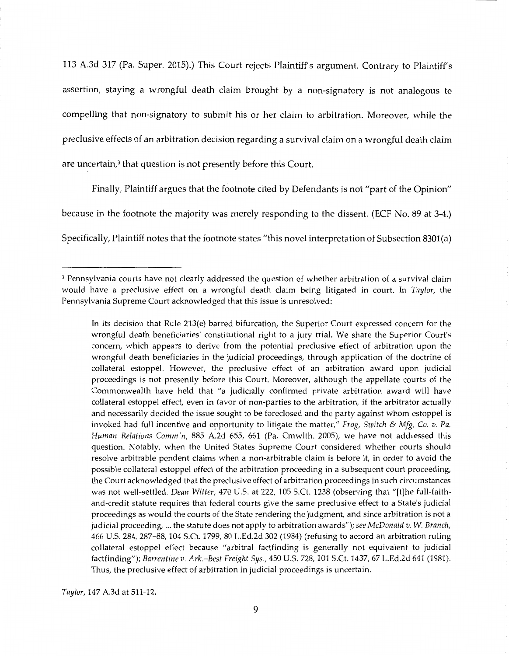113 A.3d 317 (Pa. Super. 2015).) This Court rejects Plaintiff's argument. Contrary to Plaintiff's assertion, staying a wrongful death claim brought by a non-signatory is not analogous to compelling that non-signatory to submit his or her claim to arbitration. Moreover, while the preclusive effects of an arbitration decision regarding a survival claim on a wrongful death claim are uncertain,3 that question is not presently before this Court.

Finally, Plaintiff argues that the footnote cited by Defendants is not "part of the Opinion" because in the footnote the majority was merely responding to the dissent. (ECF No. 89 at 3-4.)

Specifically, Plaintiff notes that the footnote states "this novel interpretation of Subsection 8301(a)

In its decision that Rule 213(e) barred bifurcation, the Superior Court expressed concern for the wrongful death beneficiaries' constitutional right to a jury trial. We share the Superior Court's concern, which appears to derive from the potential preclusive effect of arbitration upon the wrongful death beneficiaries in the judicial proceedings, through application of the doctrine of collateral estoppel. However, the preclusive effect of an arbitration award upon judicial proceedings is not presently before this Court. Moreover, although the appellate courts of the Commonwealth have held that "a judicially confirmed private arbitration award will have collateral estoppel effect, even in favor of non-parties to the arbitration, if the arbitrator actually and necessarily decided the issue sought to be foreclosed and the party against whom estoppel is invoked had full incentive and opportunity to litigate the matter," *Frog, Switch* & *Mfg. Co. v. Pa. Human Relations Comm 'n,* 885 A.2d 655, 661 (Pa. Cmwlth. 2005), we have not addressed this question. Notably, when the United States Supreme Court considered whether courts should resolve arbitrable pendent claims when a non-arbitrable claim is before it, in order to avoid the possible collateral estoppel effect of the arbitration proceeding in a subsequent court proceeding, the Court acknowledged that the preclusive effect of arbitration proceedings in such circumstances was not well-settled. *Dean Witter,* 470 U.S. at 222, 105 S.Ct. 1238 (observing that "[t]he full-faithand-credit statute requires that federal courts give the same preclusive effect to a State's judicial proceedings as would the courts of the State rendering the judgment, and since arbitration is not a judicial proceeding, ... the statute does not apply to arbitration awards"); *see McDonald v. W. Branch,*  466 U.S. 284, 287-88, 104 S.Ct. 1799, 80 L.Ed.2d 302 (1984) (refusing to accord an arbitration ruling collateral estoppel effect because "arbitral factfinding is generally not equivalent to judicial factfinding"); *Barrentine v. Ark.-Best Freight Sys.,* 450 U.S. 728, 101S.Ct.1437, 67 L.Ed.2d 641 (1981). Thus, the preclusive effect of arbitration in judicial proceedings is uncertain.

*Taylor,* 147 A.3d at 511-12.

<sup>&</sup>lt;sup>3</sup> Pennsylvania courts have not clearly addressed the question of whether arbitration of a survival claim would have a preclusive effect on a wrongful death claim being litigated in court. In *Taylor,* the Pennsylvania Supreme Court acknowledged that this issue is unresolved: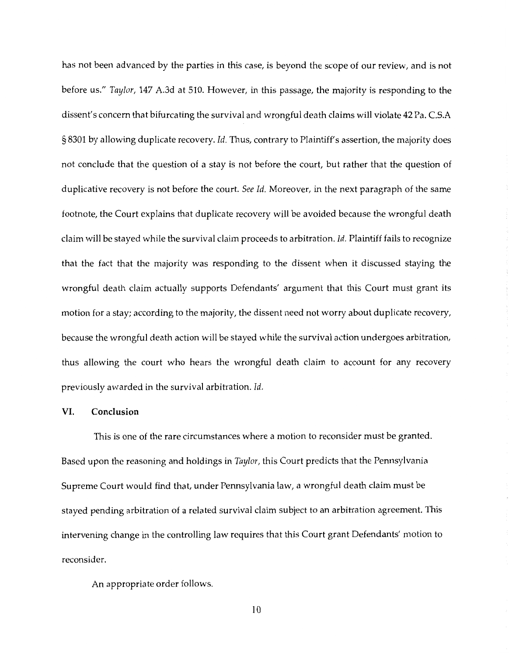has not been advanced by the parties in this case, is beyond the scope of our review, and is not before us." *Taylor,* 147 A.3d at 510. However, in this passage, the majority is responding to the dissent's concern that bifurcating the survival and wrongful death claims will violate 42 Pa. C.S.A § 8301 by allowing duplicate recovery. *Id.* Thus, contrary to Plaintiff's assertion, the majority does not conclude that the question of a stay is not before the court, but rather that the question of duplicative recovery is not before the court. *See Id.* Moreover, in the next paragraph of the same footnote, the Court explains that duplicate recovery will be avoided because the wrongful death claim will be stayed while the survival claim proceeds to arbitration. *Id.* Plaintiff fails to recognize that the fact that the majority was responding to the dissent when it discussed staying the wrongful death claim actually supports Defendants' argument that this Court must grant its motion for a stay; according to the majority, the dissent need not worry about duplicate recovery, because the wrongful death action will be stayed while the survival action undergoes arbitration, thus allowing the court who hears the wrongful death claim to account for any recovery previously awarded in the survival arbitration. *Id.* 

## **VI. Conclusion**

This is one of the rare circumstances where a motion to reconsider must be granted. Based upon the reasoning and holdings in *Taylor,* this Court predicts that the Pennsylvania Supreme Court would find that, under Pennsylvania law, a wrongful death claim must be stayed pending arbitration of a related survival claim subject to an arbitration agreement. This intervening change in the controlling law requires that this Court grant Defendants' motion to reconsider.

An appropriate order follows.

10